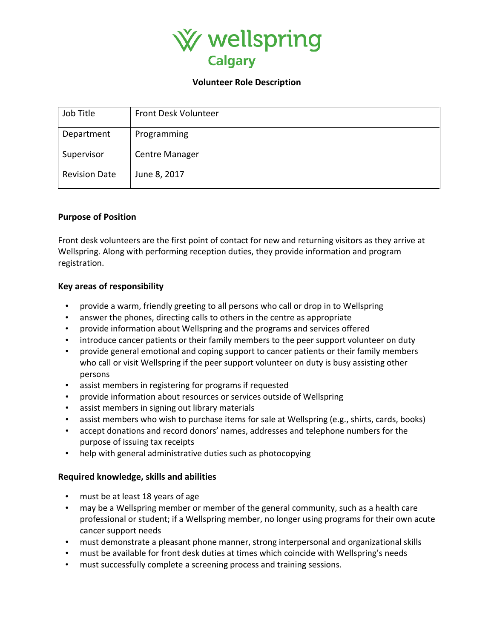

#### **Volunteer Role Description**

| Job Title            | Front Desk Volunteer  |
|----------------------|-----------------------|
| Department           | Programming           |
| Supervisor           | <b>Centre Manager</b> |
| <b>Revision Date</b> | June 8, 2017          |

## **Purpose of Position**

Front desk volunteers are the first point of contact for new and returning visitors as they arrive at Wellspring. Along with performing reception duties, they provide information and program registration.

## **Key areas of responsibility**

- provide a warm, friendly greeting to all persons who call or drop in to Wellspring
- answer the phones, directing calls to others in the centre as appropriate
- provide information about Wellspring and the programs and services offered
- introduce cancer patients or their family members to the peer support volunteer on duty
- provide general emotional and coping support to cancer patients or their family members who call or visit Wellspring if the peer support volunteer on duty is busy assisting other persons
- assist members in registering for programs if requested
- provide information about resources or services outside of Wellspring
- assist members in signing out library materials
- assist members who wish to purchase items for sale at Wellspring (e.g., shirts, cards, books)
- accept donations and record donors' names, addresses and telephone numbers for the purpose of issuing tax receipts
- help with general administrative duties such as photocopying

## **Required knowledge, skills and abilities**

- must be at least 18 years of age
- may be a Wellspring member or member of the general community, such as a health care professional or student; if a Wellspring member, no longer using programs for their own acute cancer support needs
- must demonstrate a pleasant phone manner, strong interpersonal and organizational skills
- must be available for front desk duties at times which coincide with Wellspring's needs
- must successfully complete a screening process and training sessions.